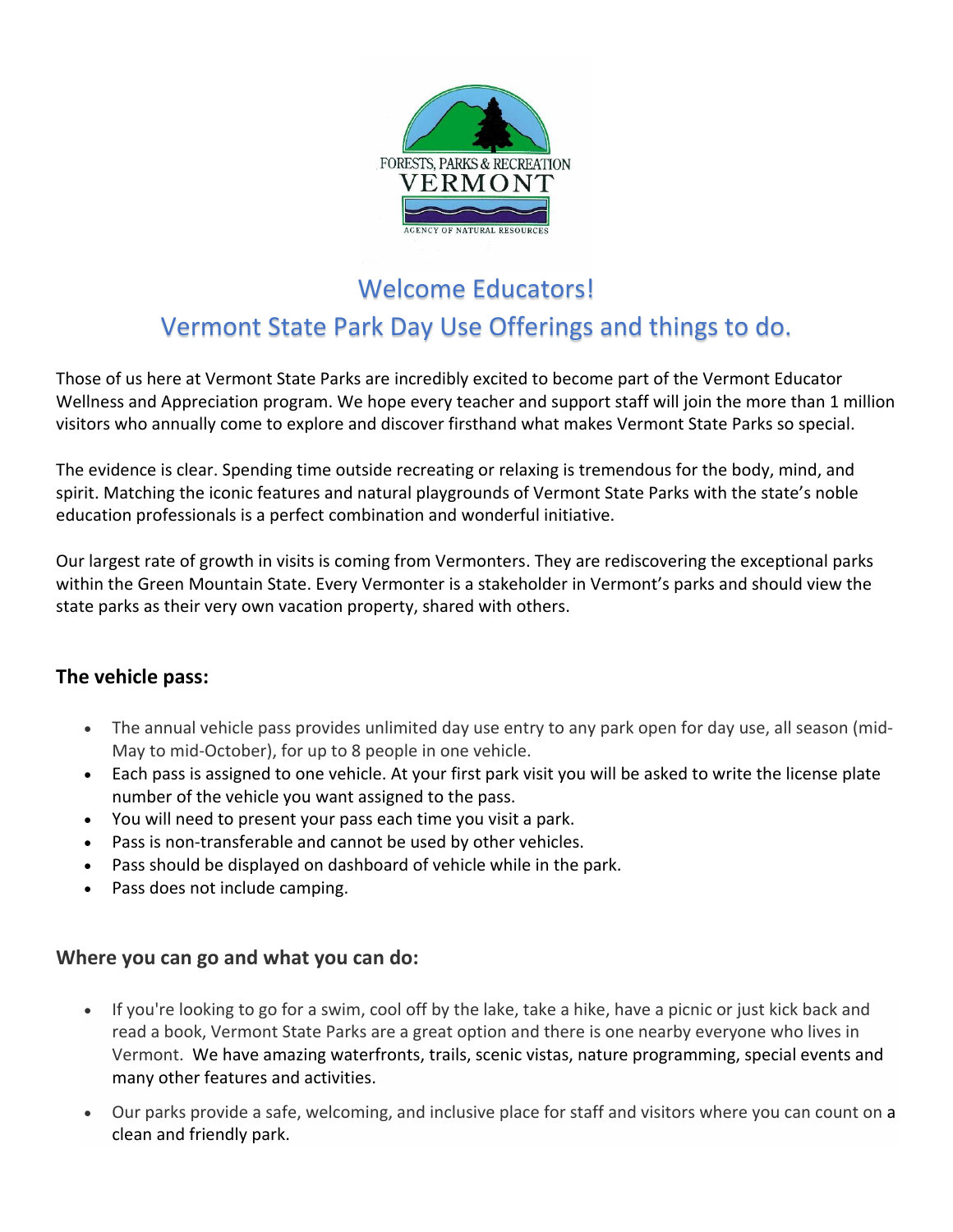

# Welcome Educators! Vermont State Park Day Use Offerings and things to do.

Those of us here at Vermont State Parks are incredibly excited to become part of the Vermont Educator Wellness and Appreciation program. We hope every teacher and support staff will join the more than 1 million visitors who annually come to explore and discover firsthand what makes Vermont State Parks so special.

The evidence is clear. Spending time outside recreating or relaxing is tremendous for the body, mind, and spirit. Matching the iconic features and natural playgrounds of Vermont State Parks with the state's noble education professionals is a perfect combination and wonderful initiative.

Our largest rate of growth in visits is coming from Vermonters. They are rediscovering the exceptional parks within the Green Mountain State. Every Vermonter is a stakeholder in Vermont's parks and should view the state parks as their very own vacation property, shared with others.

## **The vehicle pass:**

- The annual vehicle pass provides unlimited day use entry to any park open for day use, all season (mid-May to mid-October), for up to 8 people in one vehicle.
- Each pass is assigned to one vehicle. At your first park visit you will be asked to write the license plate number of the vehicle you want assigned to the pass.
- You will need to present your pass each time you visit a park.
- Pass is non-transferable and cannot be used by other vehicles.
- Pass should be displayed on dashboard of vehicle while in the park.
- Pass does not include camping.

#### **Where you can go and what you can do:**

- If you're looking to go for a swim, cool off by the lake, take a hike, have a picnic or just kick back and read a book, Vermont State Parks are a great option and there is one nearby everyone who lives in Vermont. We have amazing waterfronts, trails, scenic vistas, nature programming, special events and many other features and activities.
- Our parks provide a safe, welcoming, and inclusive place for staff and visitors where you can count on a clean and friendly park.